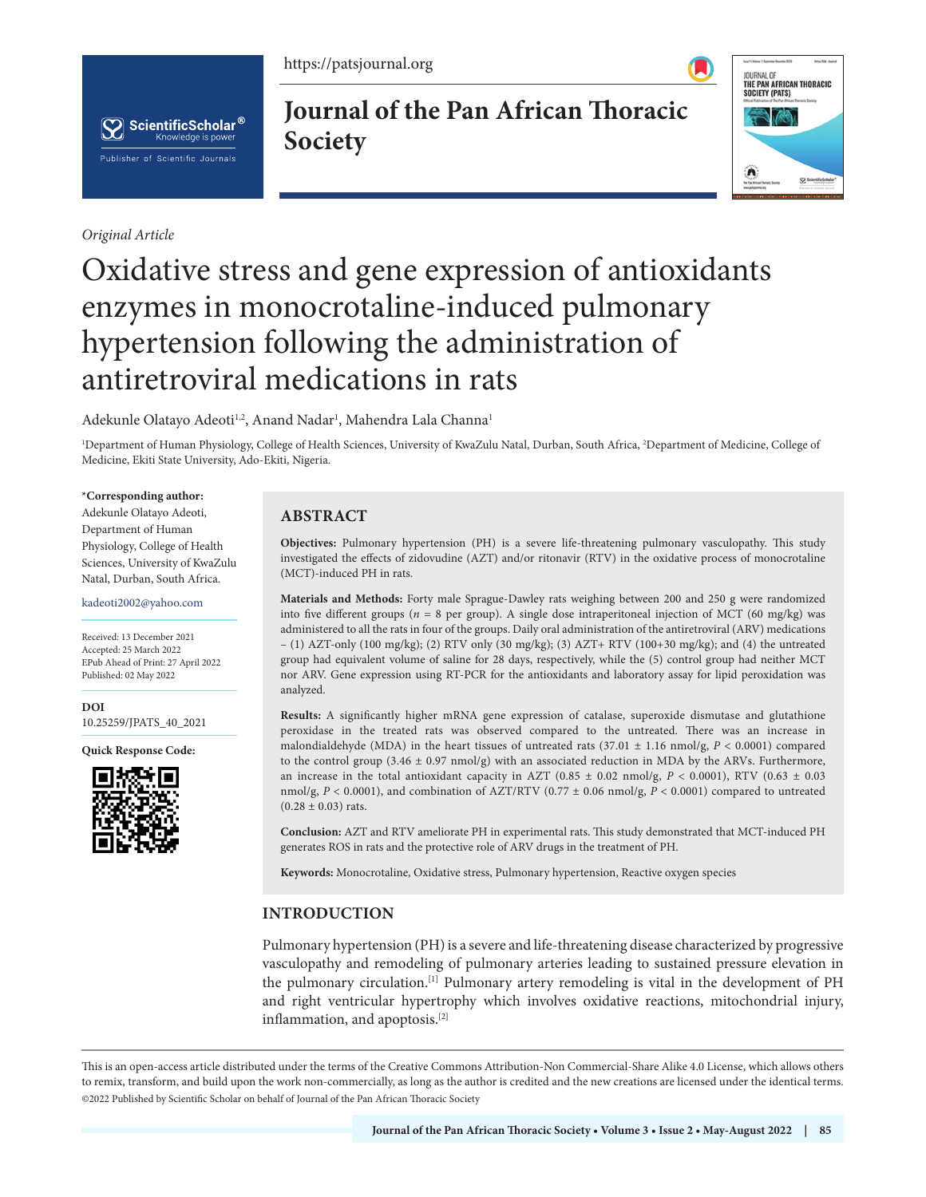https://patsjournal.org



*Original Article*

**Journal of the Pan African Thoracic Society**



# Oxidative stress and gene expression of antioxidants enzymes in monocrotaline-induced pulmonary hypertension following the administration of antiretroviral medications in rats

Adekunle Olatayo Adeoti<sup>1,2</sup>, Anand Nadar<sup>1</sup>, Mahendra Lala Channa<sup>1</sup>

1 Department of Human Physiology, College of Health Sciences, University of KwaZulu Natal, Durban, South Africa, 2 Department of Medicine, College of Medicine, Ekiti State University, Ado-Ekiti, Nigeria.

#### **\*Corresponding author:**

Adekunle Olatayo Adeoti, Department of Human Physiology, College of Health Sciences, University of KwaZulu Natal, Durban, South Africa.

kadeoti2002@yahoo.com

Received: 13 December 2021 Accepted: 25 March 2022 EPub Ahead of Print: 27 April 2022 Published: 02 May 2022

**[DOI](https://dx.doi.org/10.25259/JPATS_40_2021)** [10.25259/JPATS\\_40\\_2021](https://dx.doi.org/10.25259/JPATS_40_2021)

**Quick Response Code:**



# **ABSTRACT**

**Objectives:** Pulmonary hypertension (PH) is a severe life-threatening pulmonary vasculopathy. This study investigated the effects of zidovudine (AZT) and/or ritonavir (RTV) in the oxidative process of monocrotaline (MCT)-induced PH in rats.

**Materials and Methods:** Forty male Sprague-Dawley rats weighing between 200 and 250 g were randomized into five different groups (*n* = 8 per group). A single dose intraperitoneal injection of MCT (60 mg/kg) was administered to all the rats in four of the groups. Daily oral administration of the antiretroviral (ARV) medications – (1) AZT-only (100 mg/kg); (2) RTV only (30 mg/kg); (3) AZT+ RTV (100+30 mg/kg); and (4) the untreated group had equivalent volume of saline for 28 days, respectively, while the (5) control group had neither MCT nor ARV. Gene expression using RT-PCR for the antioxidants and laboratory assay for lipid peroxidation was analyzed.

**Results:** A significantly higher mRNA gene expression of catalase, superoxide dismutase and glutathione peroxidase in the treated rats was observed compared to the untreated. There was an increase in malondialdehyde (MDA) in the heart tissues of untreated rats  $(37.01 \pm 1.16 \text{ nmol/g}, P < 0.0001)$  compared to the control group (3.46  $\pm$  0.97 nmol/g) with an associated reduction in MDA by the ARVs. Furthermore, an increase in the total antioxidant capacity in AZT ( $0.85 \pm 0.02$  nmol/g,  $P < 0.0001$ ), RTV ( $0.63 \pm 0.03$ nmol/g, *P* < 0.0001), and combination of AZT/RTV (0.77 ± 0.06 nmol/g, *P* < 0.0001) compared to untreated  $(0.28 \pm 0.03)$  rats.

**Conclusion:** AZT and RTV ameliorate PH in experimental rats. This study demonstrated that MCT-induced PH generates ROS in rats and the protective role of ARV drugs in the treatment of PH.

**Keywords:** Monocrotaline, Oxidative stress, Pulmonary hypertension, Reactive oxygen species

# **INTRODUCTION**

Pulmonary hypertension (PH) is a severe and life-threatening disease characterized by progressive vasculopathy and remodeling of pulmonary arteries leading to sustained pressure elevation in the pulmonary circulation.[1] Pulmonary artery remodeling is vital in the development of PH and right ventricular hypertrophy which involves oxidative reactions, mitochondrial injury, inflammation, and apoptosis.[2]

This is an open-access article distributed under the terms of the Creative Commons Attribution-Non Commercial-Share Alike 4.0 License, which allows others to remix, transform, and build upon the work non-commercially, as long as the author is credited and the new creations are licensed under the identical terms. ©2022 Published by Scientific Scholar on behalf of Journal of the Pan African Thoracic Society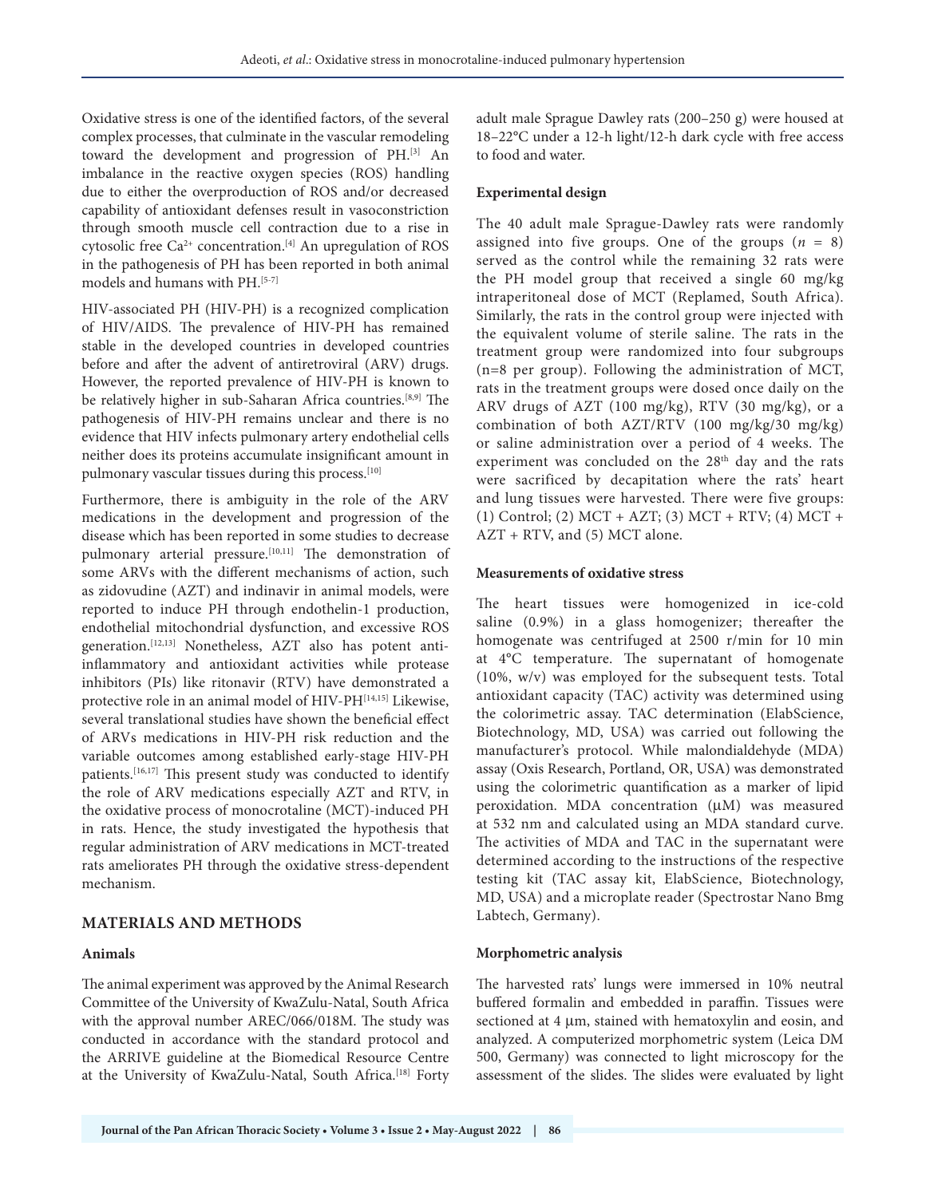Oxidative stress is one of the identified factors, of the several complex processes, that culminate in the vascular remodeling toward the development and progression of PH.[3] An imbalance in the reactive oxygen species (ROS) handling due to either the overproduction of ROS and/or decreased capability of antioxidant defenses result in vasoconstriction through smooth muscle cell contraction due to a rise in cytosolic free Ca<sup>2+</sup> concentration.<sup>[4]</sup> An upregulation of ROS in the pathogenesis of PH has been reported in both animal models and humans with PH.<sup>[5-7]</sup>

HIV-associated PH (HIV-PH) is a recognized complication of HIV/AIDS. The prevalence of HIV-PH has remained stable in the developed countries in developed countries before and after the advent of antiretroviral (ARV) drugs. However, the reported prevalence of HIV-PH is known to be relatively higher in sub-Saharan Africa countries.[8,9] The pathogenesis of HIV-PH remains unclear and there is no evidence that HIV infects pulmonary artery endothelial cells neither does its proteins accumulate insignificant amount in pulmonary vascular tissues during this process.<sup>[10]</sup>

Furthermore, there is ambiguity in the role of the ARV medications in the development and progression of the disease which has been reported in some studies to decrease pulmonary arterial pressure.<sup>[10,11]</sup> The demonstration of some ARVs with the different mechanisms of action, such as zidovudine (AZT) and indinavir in animal models, were reported to induce PH through endothelin-1 production, endothelial mitochondrial dysfunction, and excessive ROS generation.[12,13] Nonetheless, AZT also has potent antiinflammatory and antioxidant activities while protease inhibitors (PIs) like ritonavir (RTV) have demonstrated a protective role in an animal model of HIV-PH[14,15] Likewise, several translational studies have shown the beneficial effect of ARVs medications in HIV-PH risk reduction and the variable outcomes among established early-stage HIV-PH patients.<sup>[16,17]</sup> This present study was conducted to identify the role of ARV medications especially AZT and RTV, in the oxidative process of monocrotaline (MCT)-induced PH in rats. Hence, the study investigated the hypothesis that regular administration of ARV medications in MCT-treated rats ameliorates PH through the oxidative stress-dependent mechanism.

## **MATERIALS AND METHODS**

### **Animals**

The animal experiment was approved by the Animal Research Committee of the University of KwaZulu-Natal, South Africa with the approval number AREC/066/018M. The study was conducted in accordance with the standard protocol and the ARRIVE guideline at the Biomedical Resource Centre at the University of KwaZulu-Natal, South Africa.<sup>[18]</sup> Forty adult male Sprague Dawley rats (200–250 g) were housed at 18–22°C under a 12-h light/12-h dark cycle with free access to food and water.

## **Experimental design**

The 40 adult male Sprague-Dawley rats were randomly assigned into five groups. One of the groups  $(n = 8)$ served as the control while the remaining 32 rats were the PH model group that received a single 60 mg/kg intraperitoneal dose of MCT (Replamed, South Africa). Similarly, the rats in the control group were injected with the equivalent volume of sterile saline. The rats in the treatment group were randomized into four subgroups (n=8 per group). Following the administration of MCT, rats in the treatment groups were dosed once daily on the ARV drugs of AZT (100 mg/kg), RTV (30 mg/kg), or a combination of both AZT/RTV (100 mg/kg/30 mg/kg) or saline administration over a period of 4 weeks. The experiment was concluded on the 28<sup>th</sup> day and the rats were sacrificed by decapitation where the rats' heart and lung tissues were harvested. There were five groups: (1) Control; (2) MCT + AZT; (3) MCT + RTV; (4) MCT + AZT + RTV, and (5) MCT alone.

## **Measurements of oxidative stress**

The heart tissues were homogenized in ice-cold saline (0.9%) in a glass homogenizer; thereafter the homogenate was centrifuged at 2500 r/min for 10 min at 4°C temperature. The supernatant of homogenate (10%, w/v) was employed for the subsequent tests. Total antioxidant capacity (TAC) activity was determined using the colorimetric assay. TAC determination (ElabScience, Biotechnology, MD, USA) was carried out following the manufacturer's protocol. While malondialdehyde (MDA) assay (Oxis Research, Portland, OR, USA) was demonstrated using the colorimetric quantification as a marker of lipid peroxidation. MDA concentration (µM) was measured at 532 nm and calculated using an MDA standard curve. The activities of MDA and TAC in the supernatant were determined according to the instructions of the respective testing kit (TAC assay kit, ElabScience, Biotechnology, MD, USA) and a microplate reader (Spectrostar Nano Bmg Labtech, Germany).

## **Morphometric analysis**

The harvested rats' lungs were immersed in 10% neutral buffered formalin and embedded in paraffin. Tissues were sectioned at 4 μm, stained with hematoxylin and eosin, and analyzed. A computerized morphometric system (Leica DM 500, Germany) was connected to light microscopy for the assessment of the slides. The slides were evaluated by light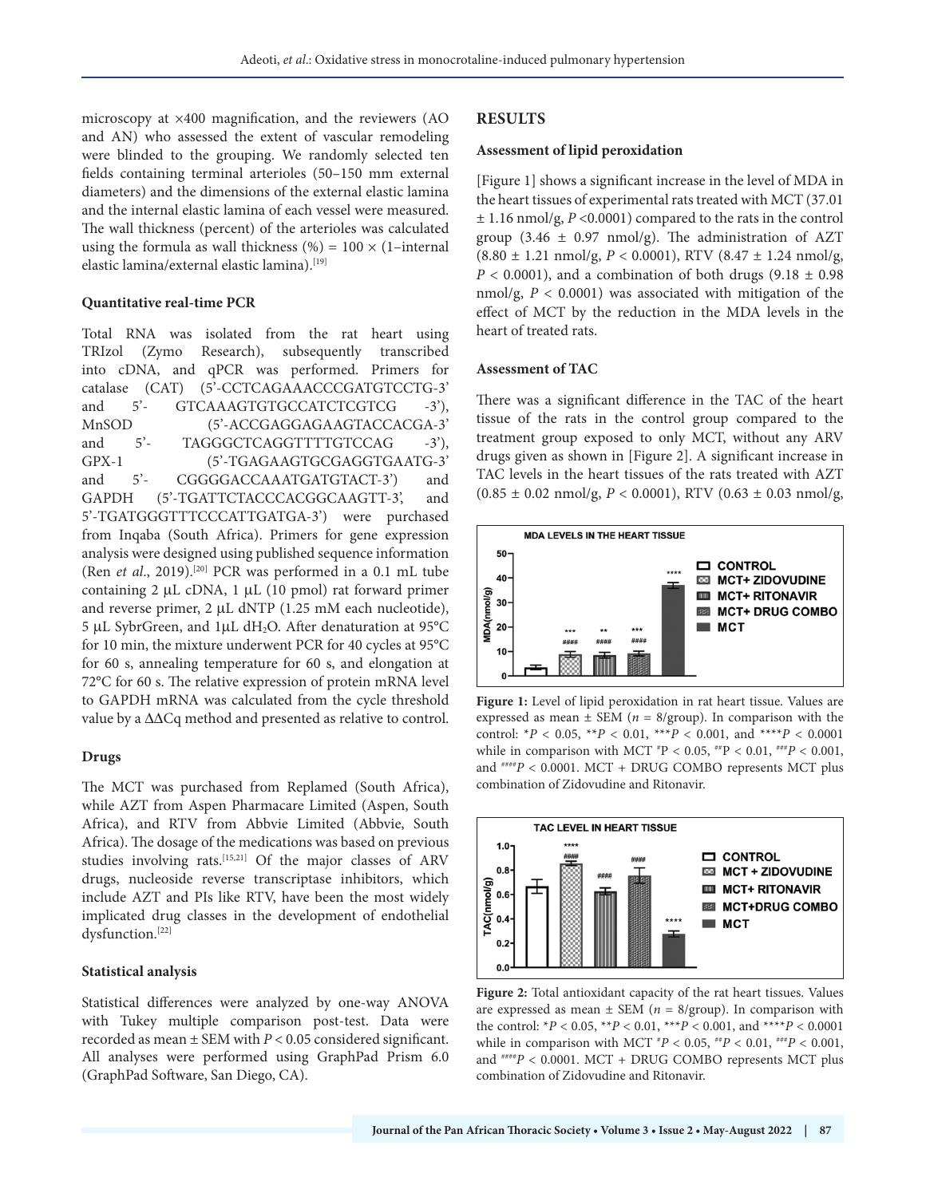microscopy at ×400 magnification, and the reviewers (AO and AN) who assessed the extent of vascular remodeling were blinded to the grouping. We randomly selected ten fields containing terminal arterioles (50–150 mm external diameters) and the dimensions of the external elastic lamina and the internal elastic lamina of each vessel were measured. The wall thickness (percent) of the arterioles was calculated using the formula as wall thickness (%) =  $100 \times (1$ –internal elastic lamina/external elastic lamina).<sup>[19]</sup>

#### **Quantitative real-time PCR**

Total RNA was isolated from the rat heart using TRIzol (Zymo Research), subsequently transcribed into cDNA, and qPCR was performed. Primers for catalase (CAT) (5'-CCTCAGAAACCCGATGTCCTG-3' and 5'- GTCAAAGTGTGCCATCTCGTCG -3'), MnSOD (5'-ACCGAGGAGAAGTACCACGA-3' and 5'- TAGGGCTCAGGTTTTGTCCAG -3'), GPX-1 (5'-TGAGAAGTGCGAGGTGAATG-3' and 5'- CGGGGACCAAATGATGTACT-3') and GAPDH (5'-TGATTCTACCCACGGCAAGTT-3', and 5'-TGATGGGTTTCCCATTGATGA-3') were purchased from Inqaba (South Africa). Primers for gene expression analysis were designed using published sequence information (Ren *et al.*, 2019).<sup>[20]</sup> PCR was performed in a 0.1 mL tube containing 2 µL cDNA, 1 µL (10 pmol) rat forward primer and reverse primer, 2 µL dNTP (1.25 mM each nucleotide), 5 µL SybrGreen, and 1µL dH2O. After denaturation at 95°C for 10 min, the mixture underwent PCR for 40 cycles at 95°C for 60 s, annealing temperature for 60 s, and elongation at 72°C for 60 s. The relative expression of protein mRNA level to GAPDH mRNA was calculated from the cycle threshold value by a ΔΔCq method and presented as relative to control.

#### **Drugs**

The MCT was purchased from Replamed (South Africa), while AZT from Aspen Pharmacare Limited (Aspen, South Africa), and RTV from Abbvie Limited (Abbvie, South Africa). The dosage of the medications was based on previous studies involving rats.[15,21] Of the major classes of ARV drugs, nucleoside reverse transcriptase inhibitors, which include AZT and PIs like RTV, have been the most widely implicated drug classes in the development of endothelial dysfunction.[22]

#### **Statistical analysis**

Statistical differences were analyzed by one-way ANOVA with Tukey multiple comparison post-test. Data were recorded as mean ± SEM with *P* < 0.05 considered significant. All analyses were performed using GraphPad Prism 6.0 (GraphPad Software, San Diego, CA).

#### **RESULTS**

#### **Assessment of lipid peroxidation**

[Figure 1] shows a significant increase in the level of MDA in the heart tissues of experimental rats treated with MCT (37.01 ± 1.16 nmol/g, *P* <0.0001) compared to the rats in the control group (3.46  $\pm$  0.97 nmol/g). The administration of AZT (8.80 ± 1.21 nmol/g, *P* < 0.0001), RTV (8.47 ± 1.24 nmol/g,  $P < 0.0001$ ), and a combination of both drugs (9.18  $\pm$  0.98 nmol/g, *P* < 0.0001) was associated with mitigation of the effect of MCT by the reduction in the MDA levels in the heart of treated rats.

#### **Assessment of TAC**

There was a significant difference in the TAC of the heart tissue of the rats in the control group compared to the treatment group exposed to only MCT, without any ARV drugs given as shown in [Figure 2]. A significant increase in TAC levels in the heart tissues of the rats treated with AZT  $(0.85 \pm 0.02 \text{ nmol/g}, P < 0.0001)$ , RTV  $(0.63 \pm 0.03 \text{ nmol/g}, P < 0.0001)$ 



**Figure 1:** Level of lipid peroxidation in rat heart tissue. Values are expressed as mean  $\pm$  SEM ( $n = 8$ /group). In comparison with the control: \**P* < 0.05, \*\**P* < 0.01, \*\*\**P* < 0.001, and \*\*\*\**P* < 0.0001 while in comparison with MCT  $^{*}P < 0.05$ ,  $^{**}P < 0.01$ ,  $^{***}P < 0.001$ , and ####*P* < 0.0001. MCT + DRUG COMBO represents MCT plus combination of Zidovudine and Ritonavir.



**Figure 2:** Total antioxidant capacity of the rat heart tissues. Values are expressed as mean  $\pm$  SEM ( $n = 8$ /group). In comparison with the control:  $*P < 0.05$ ,  $*P < 0.01$ ,  $*+P < 0.001$ , and  $*+P < 0.0001$ while in comparison with MCT  $^{*}P < 0.05$ ,  $^{*}P < 0.01$ ,  $^{*}P < 0.001$ , and ####*P* < 0.0001. MCT + DRUG COMBO represents MCT plus combination of Zidovudine and Ritonavir.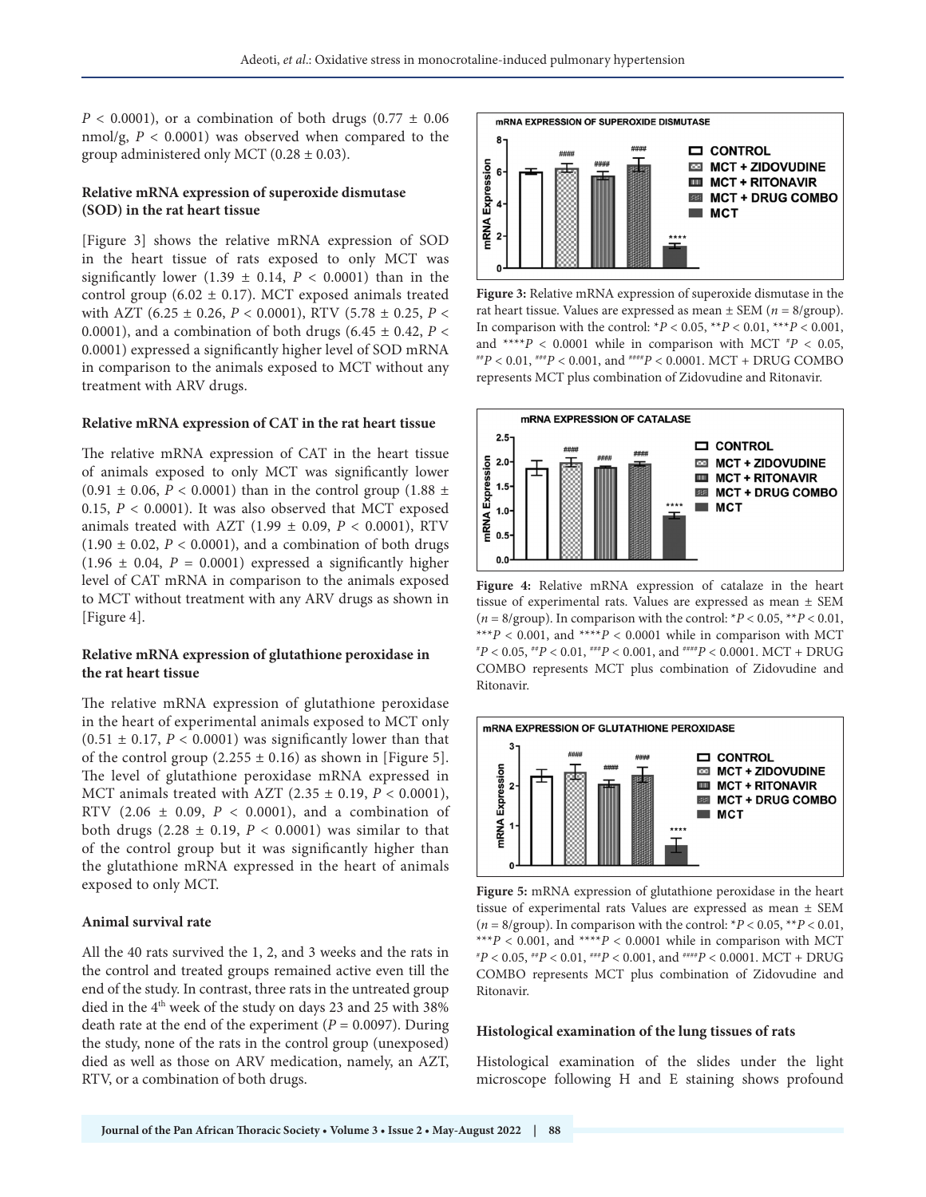$P < 0.0001$ ), or a combination of both drugs  $(0.77 \pm 0.06$ nmol/g, *P* < 0.0001) was observed when compared to the group administered only MCT  $(0.28 \pm 0.03)$ .

## **Relative mRNA expression of superoxide dismutase (SOD) in the rat heart tissue**

[Figure 3] shows the relative mRNA expression of SOD in the heart tissue of rats exposed to only MCT was significantly lower (1.39  $\pm$  0.14,  $P < 0.0001$ ) than in the control group (6.02  $\pm$  0.17). MCT exposed animals treated with AZT (6.25 ± 0.26, *P* < 0.0001), RTV (5.78 ± 0.25, *P* < 0.0001), and a combination of both drugs (6.45 ± 0.42, *P* < 0.0001) expressed a significantly higher level of SOD mRNA in comparison to the animals exposed to MCT without any treatment with ARV drugs.

#### **Relative mRNA expression of CAT in the rat heart tissue**

The relative mRNA expression of CAT in the heart tissue of animals exposed to only MCT was significantly lower  $(0.91 \pm 0.06, P < 0.0001)$  than in the control group (1.88  $\pm$ 0.15,  $P < 0.0001$ ). It was also observed that MCT exposed animals treated with AZT (1.99 ± 0.09, *P* < 0.0001), RTV  $(1.90 \pm 0.02, P < 0.0001)$ , and a combination of both drugs  $(1.96 \pm 0.04, P = 0.0001)$  expressed a significantly higher level of CAT mRNA in comparison to the animals exposed to MCT without treatment with any ARV drugs as shown in [Figure 4].

## **Relative mRNA expression of glutathione peroxidase in the rat heart tissue**

The relative mRNA expression of glutathione peroxidase in the heart of experimental animals exposed to MCT only  $(0.51 \pm 0.17, P < 0.0001)$  was significantly lower than that of the control group  $(2.255 \pm 0.16)$  as shown in [Figure 5]. The level of glutathione peroxidase mRNA expressed in MCT animals treated with AZT (2.35 ± 0.19, *P* < 0.0001), RTV (2.06 ± 0.09, *P* < 0.0001), and a combination of both drugs  $(2.28 \pm 0.19, P < 0.0001)$  was similar to that of the control group but it was significantly higher than the glutathione mRNA expressed in the heart of animals exposed to only MCT.

## **Animal survival rate**

All the 40 rats survived the 1, 2, and 3 weeks and the rats in the control and treated groups remained active even till the end of the study. In contrast, three rats in the untreated group died in the 4<sup>th</sup> week of the study on days 23 and 25 with 38% death rate at the end of the experiment  $(P = 0.0097)$ . During the study, none of the rats in the control group (unexposed) died as well as those on ARV medication, namely, an AZT, RTV, or a combination of both drugs.



**Figure 3:** Relative mRNA expression of superoxide dismutase in the rat heart tissue. Values are expressed as mean ± SEM (*n* = 8/group). In comparison with the control:  $*P < 0.05$ ,  $**P < 0.01$ ,  $***P < 0.001$ , and \*\*\*\**P* < 0.0001 while in comparison with MCT  $^*P$  < 0.05, *<sup>P</sup>* < 0.05, ##*P* < 0.01, ###*P* < 0.001, and ####*P* < 0.0001. MCT + DRUG COMBO represents MCT plus combination of Zidovudine and Ritonavir.



**Figure 4:** Relative mRNA expression of catalaze in the heart tissue of experimental rats. Values are expressed as mean ± SEM ( $n = 8$ /group). In comparison with the control:  $*P < 0.05$ ,  $*P < 0.01$ , \*\*\* $P < 0.001$ , and \*\*\*\* $P < 0.0001$  while in comparison with MCT  $P^*P < 0.05$ ,  $P^*P < 0.01$ ,  $P^*P < 0.001$ , and  $P^*P < 0.0001$ . MCT + DRUG COMBO represents MCT plus combination of Zidovudine and Ritonavir.



**Figure 5:** mRNA expression of glutathione peroxidase in the heart tissue of experimental rats Values are expressed as mean ± SEM ( $n = 8$ /group). In comparison with the control:  $*P < 0.05$ ,  $*P < 0.01$ , \*\*\* $P$  < 0.001, and \*\*\*\* $P$  < 0.0001 while in comparison with MCT *P* < 0.05, ##*P* < 0.01, ###*P* < 0.001, and ####*P* < 0.0001. MCT + DRUG COMBO represents MCT plus combination of Zidovudine and Ritonavir.

### **Histological examination of the lung tissues of rats**

Histological examination of the slides under the light microscope following H and E staining shows profound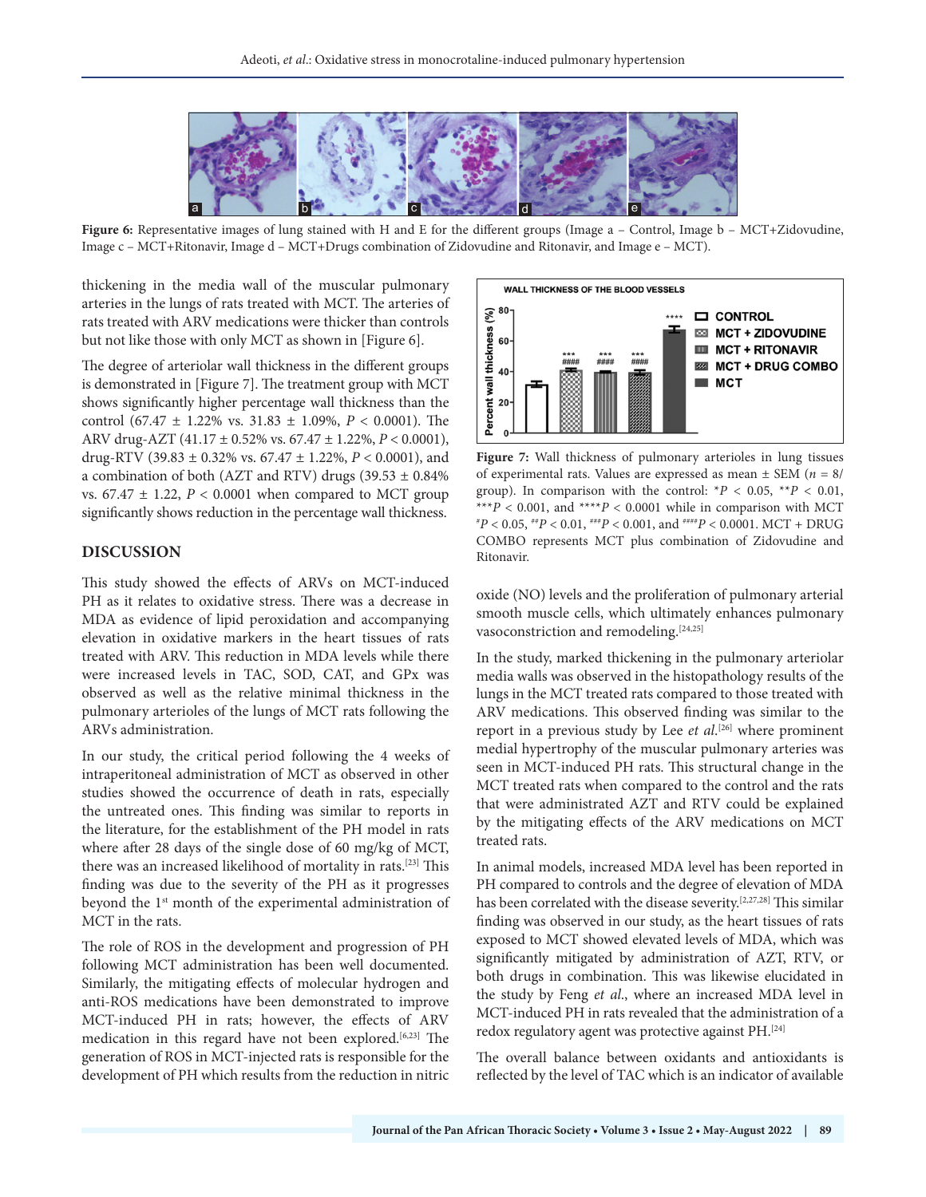

Figure 6: Representative images of lung stained with H and E for the different groups (Image a – Control, Image b – MCT+Zidovudine, Image c – MCT+Ritonavir, Image d – MCT+Drugs combination of Zidovudine and Ritonavir, and Image e – MCT).

thickening in the media wall of the muscular pulmonary arteries in the lungs of rats treated with MCT. The arteries of rats treated with ARV medications were thicker than controls but not like those with only MCT as shown in [Figure 6].

The degree of arteriolar wall thickness in the different groups is demonstrated in [Figure 7]. The treatment group with MCT shows significantly higher percentage wall thickness than the control (67.47 ± 1.22% vs. 31.83 ± 1.09%, *P* < 0.0001). The ARV drug-AZT (41.17 ± 0.52% vs. 67.47 ± 1.22%, *P* < 0.0001), drug-RTV (39.83 ± 0.32% vs. 67.47 ± 1.22%, *P* < 0.0001), and a combination of both (AZT and RTV) drugs (39.53  $\pm$  0.84% vs.  $67.47 \pm 1.22$ ,  $P < 0.0001$  when compared to MCT group significantly shows reduction in the percentage wall thickness.

## **DISCUSSION**

This study showed the effects of ARVs on MCT-induced PH as it relates to oxidative stress. There was a decrease in MDA as evidence of lipid peroxidation and accompanying elevation in oxidative markers in the heart tissues of rats treated with ARV. This reduction in MDA levels while there were increased levels in TAC, SOD, CAT, and GPx was observed as well as the relative minimal thickness in the pulmonary arterioles of the lungs of MCT rats following the ARVs administration.

In our study, the critical period following the 4 weeks of intraperitoneal administration of MCT as observed in other studies showed the occurrence of death in rats, especially the untreated ones. This finding was similar to reports in the literature, for the establishment of the PH model in rats where after 28 days of the single dose of 60 mg/kg of MCT, there was an increased likelihood of mortality in rats.[23] This finding was due to the severity of the PH as it progresses beyond the 1st month of the experimental administration of MCT in the rats.

The role of ROS in the development and progression of PH following MCT administration has been well documented. Similarly, the mitigating effects of molecular hydrogen and anti-ROS medications have been demonstrated to improve MCT-induced PH in rats; however, the effects of ARV medication in this regard have not been explored.[6,23] The generation of ROS in MCT-injected rats is responsible for the development of PH which results from the reduction in nitric



**Figure 7:** Wall thickness of pulmonary arterioles in lung tissues of experimental rats. Values are expressed as mean ± SEM (*n* = 8/ group). In comparison with the control:  $*P < 0.05$ ,  $*P < 0.01$ , \*\*\* $P$  < 0.001, and \*\*\*\* $P$  < 0.0001 while in comparison with MCT  $^{*}P < 0.05, \ {^{**}P} < 0.01, \ {^{***}P} < 0.001, \ {\rm and} \ {^{***}P} < 0.0001, \ {\rm MCT + DRUG}$ COMBO represents MCT plus combination of Zidovudine and Ritonavir.

oxide (NO) levels and the proliferation of pulmonary arterial smooth muscle cells, which ultimately enhances pulmonary vasoconstriction and remodeling.<sup>[24,25]</sup>

In the study, marked thickening in the pulmonary arteriolar media walls was observed in the histopathology results of the lungs in the MCT treated rats compared to those treated with ARV medications. This observed finding was similar to the report in a previous study by Lee *et al*. [26] where prominent medial hypertrophy of the muscular pulmonary arteries was seen in MCT-induced PH rats. This structural change in the MCT treated rats when compared to the control and the rats that were administrated AZT and RTV could be explained by the mitigating effects of the ARV medications on MCT treated rats.

In animal models, increased MDA level has been reported in PH compared to controls and the degree of elevation of MDA has been correlated with the disease severity.<sup>[2,27,28]</sup> This similar finding was observed in our study, as the heart tissues of rats exposed to MCT showed elevated levels of MDA, which was significantly mitigated by administration of AZT, RTV, or both drugs in combination. This was likewise elucidated in the study by Feng *et al*., where an increased MDA level in MCT-induced PH in rats revealed that the administration of a redox regulatory agent was protective against PH.[24]

The overall balance between oxidants and antioxidants is reflected by the level of TAC which is an indicator of available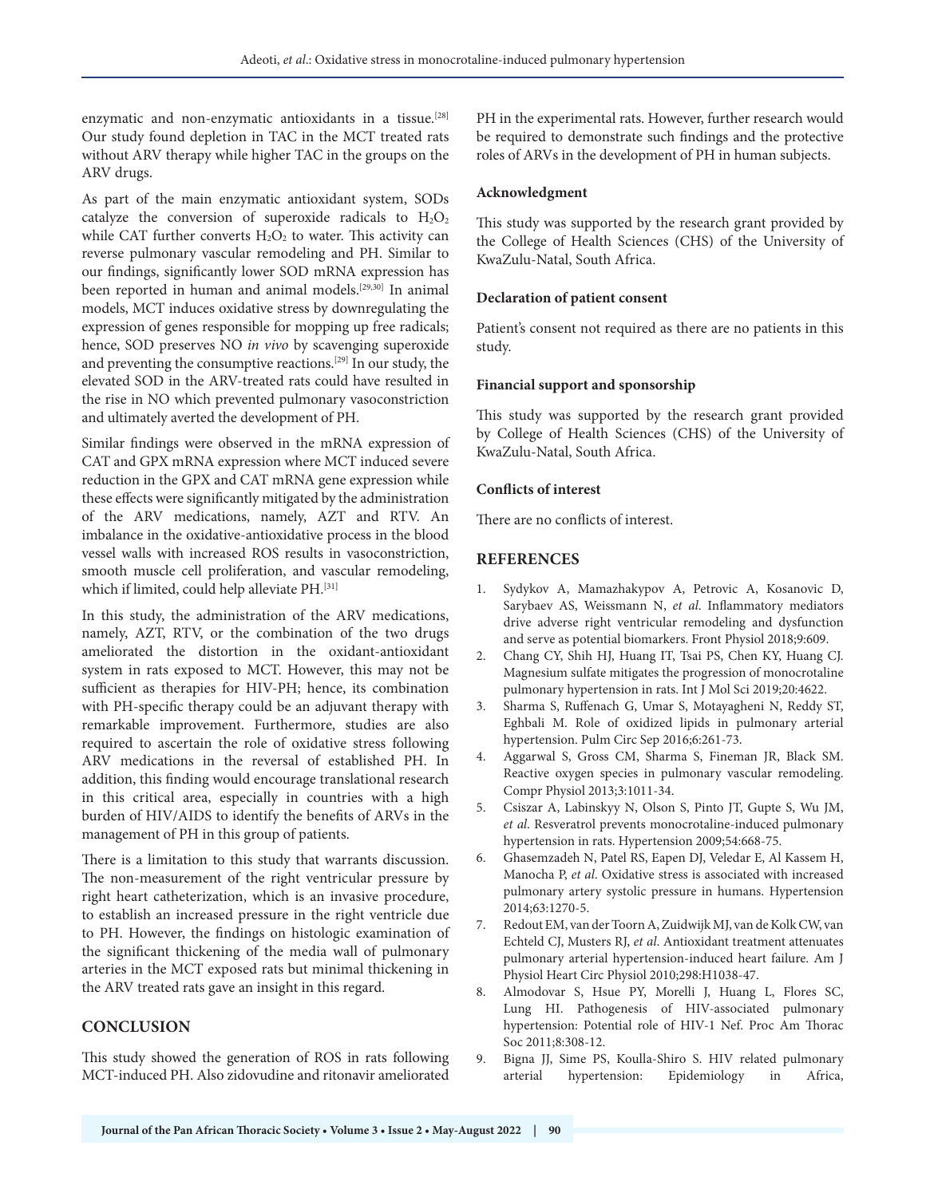enzymatic and non-enzymatic antioxidants in a tissue.<sup>[28]</sup> Our study found depletion in TAC in the MCT treated rats without ARV therapy while higher TAC in the groups on the ARV drugs.

As part of the main enzymatic antioxidant system, SODs catalyze the conversion of superoxide radicals to  $H_2O_2$ while CAT further converts  $H_2O_2$  to water. This activity can reverse pulmonary vascular remodeling and PH. Similar to our findings, significantly lower SOD mRNA expression has been reported in human and animal models.<sup>[29,30]</sup> In animal models, MCT induces oxidative stress by downregulating the expression of genes responsible for mopping up free radicals; hence, SOD preserves NO *in vivo* by scavenging superoxide and preventing the consumptive reactions.[29] In our study, the elevated SOD in the ARV-treated rats could have resulted in the rise in NO which prevented pulmonary vasoconstriction and ultimately averted the development of PH.

Similar findings were observed in the mRNA expression of CAT and GPX mRNA expression where MCT induced severe reduction in the GPX and CAT mRNA gene expression while these effects were significantly mitigated by the administration of the ARV medications, namely, AZT and RTV. An imbalance in the oxidative-antioxidative process in the blood vessel walls with increased ROS results in vasoconstriction, smooth muscle cell proliferation, and vascular remodeling, which if limited, could help alleviate PH.<sup>[31]</sup>

In this study, the administration of the ARV medications, namely, AZT, RTV, or the combination of the two drugs ameliorated the distortion in the oxidant-antioxidant system in rats exposed to MCT. However, this may not be sufficient as therapies for HIV-PH; hence, its combination with PH-specific therapy could be an adjuvant therapy with remarkable improvement. Furthermore, studies are also required to ascertain the role of oxidative stress following ARV medications in the reversal of established PH. In addition, this finding would encourage translational research in this critical area, especially in countries with a high burden of HIV/AIDS to identify the benefits of ARVs in the management of PH in this group of patients.

There is a limitation to this study that warrants discussion. The non-measurement of the right ventricular pressure by right heart catheterization, which is an invasive procedure, to establish an increased pressure in the right ventricle due to PH. However, the findings on histologic examination of the significant thickening of the media wall of pulmonary arteries in the MCT exposed rats but minimal thickening in the ARV treated rats gave an insight in this regard.

# **CONCLUSION**

This study showed the generation of ROS in rats following MCT-induced PH. Also zidovudine and ritonavir ameliorated PH in the experimental rats. However, further research would be required to demonstrate such findings and the protective roles of ARVs in the development of PH in human subjects.

## **Acknowledgment**

This study was supported by the research grant provided by the College of Health Sciences (CHS) of the University of KwaZulu-Natal, South Africa.

## **Declaration of patient consent**

Patient's consent not required as there are no patients in this study.

## **Financial support and sponsorship**

This study was supported by the research grant provided by College of Health Sciences (CHS) of the University of KwaZulu-Natal, South Africa.

## **Conflicts of interest**

There are no conflicts of interest.

## **REFERENCES**

- 1. Sydykov A, Mamazhakypov A, Petrovic A, Kosanovic D, Sarybaev AS, Weissmann N, *et al*. Inflammatory mediators drive adverse right ventricular remodeling and dysfunction and serve as potential biomarkers. Front Physiol 2018;9:609.
- 2. Chang CY, Shih HJ, Huang IT, Tsai PS, Chen KY, Huang CJ. Magnesium sulfate mitigates the progression of monocrotaline pulmonary hypertension in rats. Int J Mol Sci 2019;20:4622.
- 3. Sharma S, Ruffenach G, Umar S, Motayagheni N, Reddy ST, Eghbali M. Role of oxidized lipids in pulmonary arterial hypertension. Pulm Circ Sep 2016;6:261-73.
- Aggarwal S, Gross CM, Sharma S, Fineman JR, Black SM. Reactive oxygen species in pulmonary vascular remodeling. Compr Physiol 2013;3:1011-34.
- 5. Csiszar A, Labinskyy N, Olson S, Pinto JT, Gupte S, Wu JM, *et al*. Resveratrol prevents monocrotaline-induced pulmonary hypertension in rats. Hypertension 2009;54:668-75.
- 6. Ghasemzadeh N, Patel RS, Eapen DJ, Veledar E, Al Kassem H, Manocha P, *et al*. Oxidative stress is associated with increased pulmonary artery systolic pressure in humans. Hypertension 2014;63:1270-5.
- 7. Redout EM, van der Toorn A, Zuidwijk MJ, van de Kolk CW, van Echteld CJ, Musters RJ, *et al*. Antioxidant treatment attenuates pulmonary arterial hypertension-induced heart failure. Am J Physiol Heart Circ Physiol 2010;298:H1038-47.
- 8. Almodovar S, Hsue PY, Morelli J, Huang L, Flores SC, Lung HI. Pathogenesis of HIV-associated pulmonary hypertension: Potential role of HIV-1 Nef. Proc Am Thorac Soc 2011;8:308-12.
- 9. Bigna JJ, Sime PS, Koulla-Shiro S. HIV related pulmonary arterial hypertension: Epidemiology in Africa,